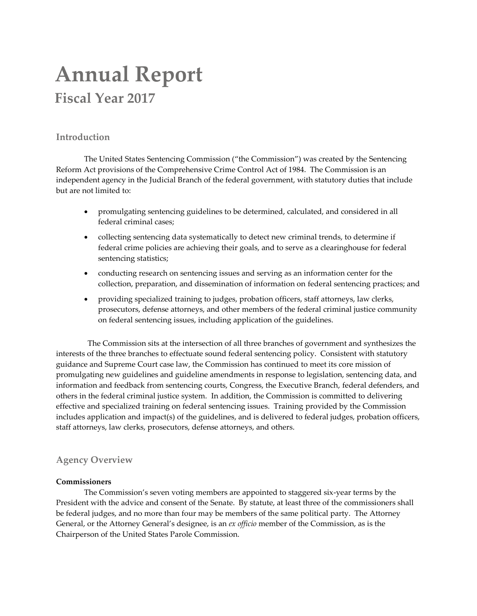# **Annual Report Fiscal Year 2017**

### **Introduction**

The United States Sentencing Commission ("the Commission") was created by the Sentencing Reform Act provisions of the Comprehensive Crime Control Act of 1984. The Commission is an independent agency in the Judicial Branch of the federal government, with statutory duties that include but are not limited to:

- promulgating sentencing guidelines to be determined, calculated, and considered in all federal criminal cases;
- collecting sentencing data systematically to detect new criminal trends, to determine if federal crime policies are achieving their goals, and to serve as a clearinghouse for federal sentencing statistics;
- conducting research on sentencing issues and serving as an information center for the collection, preparation, and dissemination of information on federal sentencing practices; and
- providing specialized training to judges, probation officers, staff attorneys, law clerks, prosecutors, defense attorneys, and other members of the federal criminal justice community on federal sentencing issues, including application of the guidelines.

The Commission sits at the intersection of all three branches of government and synthesizes the interests of the three branches to effectuate sound federal sentencing policy. Consistent with statutory guidance and Supreme Court case law, the Commission has continued to meet its core mission of promulgating new guidelines and guideline amendments in response to legislation, sentencing data, and information and feedback from sentencing courts, Congress, the Executive Branch, federal defenders, and others in the federal criminal justice system. In addition, the Commission is committed to delivering effective and specialized training on federal sentencing issues. Training provided by the Commission includes application and impact(s) of the guidelines, and is delivered to federal judges, probation officers, staff attorneys, law clerks, prosecutors, defense attorneys, and others.

# **Agency Overview**

#### **Commissioners**

The Commission's seven voting members are appointed to staggered six-year terms by the President with the advice and consent of the Senate. By statute, at least three of the commissioners shall be federal judges, and no more than four may be members of the same political party. The Attorney General, or the Attorney General's designee, is an *ex officio* member of the Commission, as is the Chairperson of the United States Parole Commission.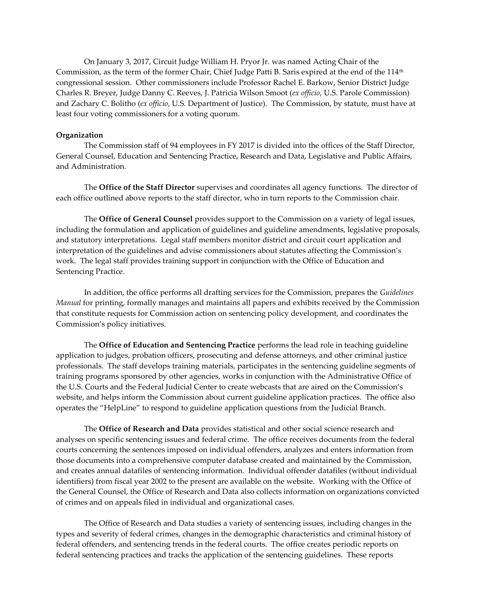On January 3, 2017, Circuit Judge William H. Pryor Jr. was named Acting Chair of the Commission, as the term of the former Chair, Chief Judge Patti B. Saris expired at the end of the 114<sup>th</sup> congressional session. Other commissioners include Professor Rachel E. Barkow, Senior District Judge Charles R. Breyer, Judge Danny C. Reeves, J. Patricia Wilson Smoot (*ex officio*, U.S. Parole Commission) and Zachary C. Bolitho (*ex officio*, U.S. Department of Justice). The Commission, by statute, must have at least four voting commissioners for a voting quorum.

#### **Organization**

The Commission staff of 94 employees in FY 2017 is divided into the offices of the Staff Director, General Counsel, Education and Sentencing Practice, Research and Data, Legislative and Public Affairs, and Administration.

The **Office of the Staff Director** supervises and coordinates all agency functions. The director of each office outlined above reports to the staff director, who in turn reports to the Commission chair.

The **Office of General Counsel** provides support to the Commission on a variety of legal issues, including the formulation and application of guidelines and guideline amendments, legislative proposals, and statutory interpretations. Legal staff members monitor district and circuit court application and interpretation of the guidelines and advise commissioners about statutes affecting the Commission's work. The legal staff provides training support in conjunction with the Office of Education and Sentencing Practice.

In addition, the office performs all drafting services for the Commission, prepares the *Guidelines Manual* for printing, formally manages and maintains all papers and exhibits received by the Commission that constitute requests for Commission action on sentencing policy development, and coordinates the Commission's policy initiatives.

The **Office of Education and Sentencing Practice** performs the lead role in teaching guideline application to judges, probation officers, prosecuting and defense attorneys, and other criminal justice professionals. The staff develops training materials, participates in the sentencing guideline segments of training programs sponsored by other agencies, works in conjunction with the Administrative Office of the U.S. Courts and the Federal Judicial Center to create webcasts that are aired on the Commission's website, and helps inform the Commission about current guideline application practices. The office also operates the "HelpLine" to respond to guideline application questions from the Judicial Branch.

The **Office of Research and Data** provides statistical and other social science research and analyses on specific sentencing issues and federal crime. The office receives documents from the federal courts concerning the sentences imposed on individual offenders, analyzes and enters information from those documents into a comprehensive computer database created and maintained by the Commission, and creates annual datafiles of sentencing information. Individual offender datafiles (without individual identifiers) from fiscal year 2002 to the present are available on the website. Working with the Office of the General Counsel, the Office of Research and Data also collects information on organizations convicted of crimes and on appeals filed in individual and organizational cases.

The Office of Research and Data studies a variety of sentencing issues, including changes in the types and severity of federal crimes, changes in the demographic characteristics and criminal history of federal offenders, and sentencing trends in the federal courts. The office creates periodic reports on federal sentencing practices and tracks the application of the sentencing guidelines. These reports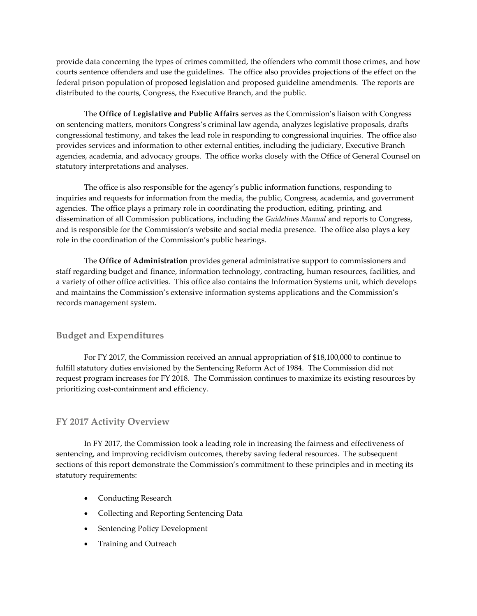provide data concerning the types of crimes committed, the offenders who commit those crimes, and how courts sentence offenders and use the guidelines. The office also provides projections of the effect on the federal prison population of proposed legislation and proposed guideline amendments. The reports are distributed to the courts, Congress, the Executive Branch, and the public.

The **Office of Legislative and Public Affairs** serves as the Commission's liaison with Congress on sentencing matters, monitors Congress's criminal law agenda, analyzes legislative proposals, drafts congressional testimony, and takes the lead role in responding to congressional inquiries. The office also provides services and information to other external entities, including the judiciary, Executive Branch agencies, academia, and advocacy groups. The office works closely with the Office of General Counsel on statutory interpretations and analyses.

The office is also responsible for the agency's public information functions, responding to inquiries and requests for information from the media, the public, Congress, academia, and government agencies. The office plays a primary role in coordinating the production, editing, printing, and dissemination of all Commission publications, including the *Guidelines Manual* and reports to Congress, and is responsible for the Commission's website and social media presence. The office also plays a key role in the coordination of the Commission's public hearings.

The **Office of Administration** provides general administrative support to commissioners and staff regarding budget and finance, information technology, contracting, human resources, facilities, and a variety of other office activities. This office also contains the Information Systems unit, which develops and maintains the Commission's extensive information systems applications and the Commission's records management system.

# **Budget and Expenditures**

For FY 2017, the Commission received an annual appropriation of \$18,100,000 to continue to fulfill statutory duties envisioned by the Sentencing Reform Act of 1984. The Commission did not request program increases for FY 2018. The Commission continues to maximize its existing resources by prioritizing cost-containment and efficiency.

# **FY 2017 Activity Overview**

In FY 2017, the Commission took a leading role in increasing the fairness and effectiveness of sentencing, and improving recidivism outcomes, thereby saving federal resources. The subsequent sections of this report demonstrate the Commission's commitment to these principles and in meeting its statutory requirements:

- Conducting Research
- Collecting and Reporting Sentencing Data
- Sentencing Policy Development
- Training and Outreach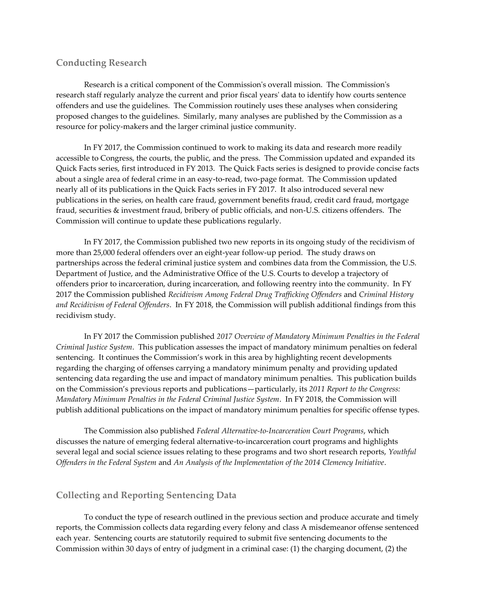#### **Conducting Research**

Research is a critical component of the Commission's overall mission. The Commission's research staff regularly analyze the current and prior fiscal years' data to identify how courts sentence offenders and use the guidelines. The Commission routinely uses these analyses when considering proposed changes to the guidelines. Similarly, many analyses are published by the Commission as a resource for policy-makers and the larger criminal justice community.

In FY 2017, the Commission continued to work to making its data and research more readily accessible to Congress, the courts, the public, and the press. The Commission updated and expanded its Quick Facts series, first introduced in FY 2013. The Quick Facts series is designed to provide concise facts about a single area of federal crime in an easy-to-read, two-page format. The Commission updated nearly all of its publications in the Quick Facts series in FY 2017. It also introduced several new publications in the series, on health care fraud, government benefits fraud, credit card fraud, mortgage fraud, securities & investment fraud, bribery of public officials, and non-U.S. citizens offenders. The Commission will continue to update these publications regularly.

In FY 2017, the Commission published two new reports in its ongoing study of the recidivism of more than 25,000 federal offenders over an eight-year follow-up period. The study draws on partnerships across the federal criminal justice system and combines data from the Commission, the U.S. Department of Justice, and the Administrative Office of the U.S. Courts to develop a trajectory of offenders prior to incarceration, during incarceration, and following reentry into the community. In FY 2017 the Commission published *Recidivism Among Federal Drug Trafficking Offenders* and *Criminal History and Recidivism of Federal Offenders*. In FY 2018, the Commission will publish additional findings from this recidivism study.

In FY 2017 the Commission published *2017 Overview of Mandatory Minimum Penalties in the Federal Criminal Justice System*. This publication assesses the impact of mandatory minimum penalties on federal sentencing. It continues the Commission's work in this area by highlighting recent developments regarding the charging of offenses carrying a mandatory minimum penalty and providing updated sentencing data regarding the use and impact of mandatory minimum penalties. This publication builds on the Commission's previous reports and publications—particularly, its *2011 Report to the Congress: Mandatory Minimum Penalties in the Federal Criminal Justice System*. In FY 2018, the Commission will publish additional publications on the impact of mandatory minimum penalties for specific offense types.

The Commission also published *Federal Alternative-to-Incarceration Court Programs*, which discusses the nature of emerging federal alternative-to-incarceration court programs and highlights several legal and social science issues relating to these programs and two short research reports, *Youthful Offenders in the Federal System* and *An Analysis of the Implementation of the 2014 Clemency Initiative*.

# **Collecting and Reporting Sentencing Data**

To conduct the type of research outlined in the previous section and produce accurate and timely reports, the Commission collects data regarding every felony and class A misdemeanor offense sentenced each year. Sentencing courts are statutorily required to submit five sentencing documents to the Commission within 30 days of entry of judgment in a criminal case: (1) the charging document, (2) the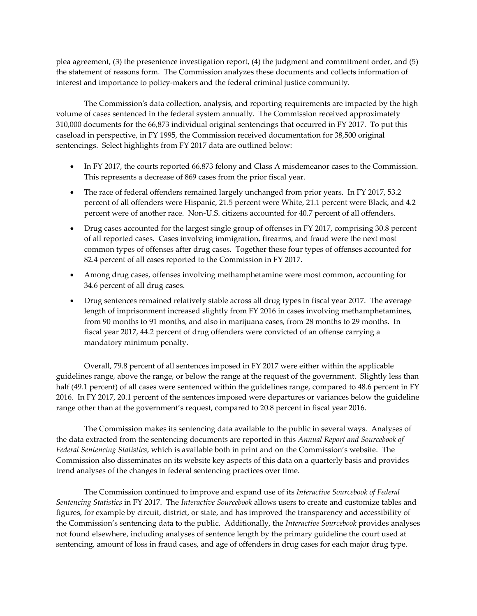plea agreement, (3) the presentence investigation report, (4) the judgment and commitment order, and (5) the statement of reasons form. The Commission analyzes these documents and collects information of interest and importance to policy-makers and the federal criminal justice community.

The Commission's data collection, analysis, and reporting requirements are impacted by the high volume of cases sentenced in the federal system annually. The Commission received approximately 310,000 documents for the 66,873 individual original sentencings that occurred in FY 2017. To put this caseload in perspective, in FY 1995, the Commission received documentation for 38,500 original sentencings. Select highlights from FY 2017 data are outlined below:

- In FY 2017, the courts reported 66,873 felony and Class A misdemeanor cases to the Commission. This represents a decrease of 869 cases from the prior fiscal year.
- The race of federal offenders remained largely unchanged from prior years. In FY 2017, 53.2 percent of all offenders were Hispanic, 21.5 percent were White, 21.1 percent were Black, and 4.2 percent were of another race. Non-U.S. citizens accounted for 40.7 percent of all offenders.
- Drug cases accounted for the largest single group of offenses in FY 2017, comprising 30.8 percent of all reported cases. Cases involving immigration, firearms, and fraud were the next most common types of offenses after drug cases. Together these four types of offenses accounted for 82.4 percent of all cases reported to the Commission in FY 2017.
- Among drug cases, offenses involving methamphetamine were most common, accounting for 34.6 percent of all drug cases.
- Drug sentences remained relatively stable across all drug types in fiscal year 2017. The average length of imprisonment increased slightly from FY 2016 in cases involving methamphetamines, from 90 months to 91 months, and also in marijuana cases, from 28 months to 29 months. In fiscal year 2017, 44.2 percent of drug offenders were convicted of an offense carrying a mandatory minimum penalty.

Overall, 79.8 percent of all sentences imposed in FY 2017 were either within the applicable guidelines range, above the range, or below the range at the request of the government. Slightly less than half (49.1 percent) of all cases were sentenced within the guidelines range, compared to 48.6 percent in FY 2016. In FY 2017, 20.1 percent of the sentences imposed were departures or variances below the guideline range other than at the government's request, compared to 20.8 percent in fiscal year 2016.

The Commission makes its sentencing data available to the public in several ways. Analyses of the data extracted from the sentencing documents are reported in this *Annual Report and Sourcebook of Federal Sentencing Statistics*, which is available both in print and on the Commission's website. The Commission also disseminates on its website key aspects of this data on a quarterly basis and provides trend analyses of the changes in federal sentencing practices over time.

The Commission continued to improve and expand use of its *Interactive Sourcebook of Federal Sentencing Statistics* in FY 2017. The *Interactive Sourcebook* allows users to create and customize tables and figures, for example by circuit, district, or state, and has improved the transparency and accessibility of the Commission's sentencing data to the public. Additionally, the *Interactive Sourcebook* provides analyses not found elsewhere, including analyses of sentence length by the primary guideline the court used at sentencing, amount of loss in fraud cases, and age of offenders in drug cases for each major drug type.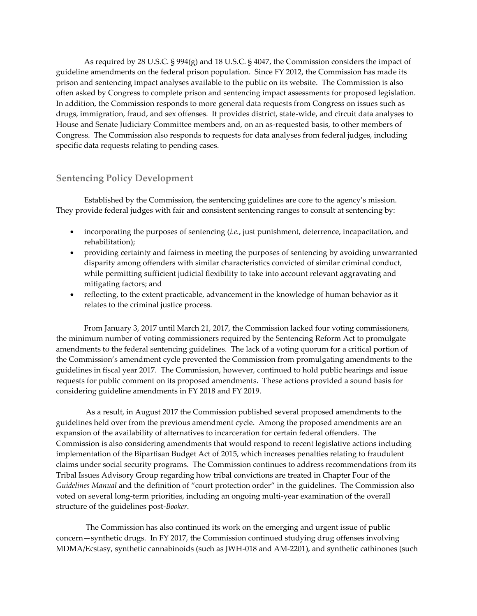As required by 28 U.S.C. § 994(g) and 18 U.S.C. § 4047, the Commission considers the impact of guideline amendments on the federal prison population. Since FY 2012, the Commission has made its prison and sentencing impact analyses available to the public on its website. The Commission is also often asked by Congress to complete prison and sentencing impact assessments for proposed legislation. In addition, the Commission responds to more general data requests from Congress on issues such as drugs, immigration, fraud, and sex offenses. It provides district, state-wide, and circuit data analyses to House and Senate Judiciary Committee members and, on an as-requested basis, to other members of Congress. The Commission also responds to requests for data analyses from federal judges, including specific data requests relating to pending cases.

#### **Sentencing Policy Development**

Established by the Commission, the sentencing guidelines are core to the agency's mission. They provide federal judges with fair and consistent sentencing ranges to consult at sentencing by:

- incorporating the purposes of sentencing (*i.e.*, just punishment, deterrence, incapacitation, and rehabilitation);
- providing certainty and fairness in meeting the purposes of sentencing by avoiding unwarranted disparity among offenders with similar characteristics convicted of similar criminal conduct, while permitting sufficient judicial flexibility to take into account relevant aggravating and mitigating factors; and
- reflecting, to the extent practicable, advancement in the knowledge of human behavior as it relates to the criminal justice process.

 From January 3, 2017 until March 21, 2017, the Commission lacked four voting commissioners, the minimum number of voting commissioners required by the Sentencing Reform Act to promulgate amendments to the federal sentencing guidelines. The lack of a voting quorum for a critical portion of the Commission's amendment cycle prevented the Commission from promulgating amendments to the guidelines in fiscal year 2017. The Commission, however, continued to hold public hearings and issue requests for public comment on its proposed amendments. These actions provided a sound basis for considering guideline amendments in FY 2018 and FY 2019.

 As a result, in August 2017 the Commission published several proposed amendments to the guidelines held over from the previous amendment cycle. Among the proposed amendments are an expansion of the availability of alternatives to incarceration for certain federal offenders. The Commission is also considering amendments that would respond to recent legislative actions including implementation of the Bipartisan Budget Act of 2015, which increases penalties relating to fraudulent claims under social security programs. The Commission continues to address recommendations from its Tribal Issues Advisory Group regarding how tribal convictions are treated in Chapter Four of the *Guidelines Manual* and the definition of "court protection order" in the guidelines. The Commission also voted on several long-term priorities, including an ongoing multi-year examination of the overall structure of the guidelines post-*Booker*.

 The Commission has also continued its work on the emerging and urgent issue of public concern—synthetic drugs. In FY 2017, the Commission continued studying drug offenses involving MDMA/Ecstasy, synthetic cannabinoids (such as JWH-018 and AM-2201), and synthetic cathinones (such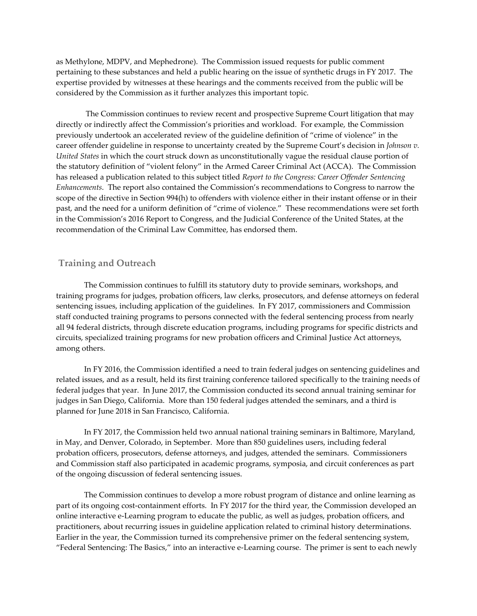as Methylone, MDPV, and Mephedrone). The Commission issued requests for public comment pertaining to these substances and held a public hearing on the issue of synthetic drugs in FY 2017. The expertise provided by witnesses at these hearings and the comments received from the public will be considered by the Commission as it further analyzes this important topic.

 The Commission continues to review recent and prospective Supreme Court litigation that may directly or indirectly affect the Commission's priorities and workload. For example, the Commission previously undertook an accelerated review of the guideline definition of "crime of violence" in the career offender guideline in response to uncertainty created by the Supreme Court's decision in *Johnson v. United States* in which the court struck down as unconstitutionally vague the residual clause portion of the statutory definition of "violent felony" in the Armed Career Criminal Act (ACCA). The Commission has released a publication related to this subject titled *Report to the Congress: Career Offender Sentencing Enhancements*. The report also contained the Commission's recommendations to Congress to narrow the scope of the directive in Section 994(h) to offenders with violence either in their instant offense or in their past, and the need for a uniform definition of "crime of violence." These recommendations were set forth in the Commission's 2016 Report to Congress, and the Judicial Conference of the United States, at the recommendation of the Criminal Law Committee, has endorsed them.

#### **Training and Outreach**

The Commission continues to fulfill its statutory duty to provide seminars, workshops, and training programs for judges, probation officers, law clerks, prosecutors, and defense attorneys on federal sentencing issues, including application of the guidelines. In FY 2017, commissioners and Commission staff conducted training programs to persons connected with the federal sentencing process from nearly all 94 federal districts, through discrete education programs, including programs for specific districts and circuits, specialized training programs for new probation officers and Criminal Justice Act attorneys, among others.

In FY 2016, the Commission identified a need to train federal judges on sentencing guidelines and related issues, and as a result, held its first training conference tailored specifically to the training needs of federal judges that year. In June 2017, the Commission conducted its second annual training seminar for judges in San Diego, California. More than 150 federal judges attended the seminars, and a third is planned for June 2018 in San Francisco, California.

In FY 2017, the Commission held two annual national training seminars in Baltimore, Maryland, in May, and Denver, Colorado, in September. More than 850 guidelines users, including federal probation officers, prosecutors, defense attorneys, and judges, attended the seminars. Commissioners and Commission staff also participated in academic programs, symposia, and circuit conferences as part of the ongoing discussion of federal sentencing issues.

The Commission continues to develop a more robust program of distance and online learning as part of its ongoing cost-containment efforts. In FY 2017 for the third year, the Commission developed an online interactive e-Learning program to educate the public, as well as judges, probation officers, and practitioners, about recurring issues in guideline application related to criminal history determinations. Earlier in the year, the Commission turned its comprehensive primer on the federal sentencing system, "Federal Sentencing: The Basics," into an interactive e-Learning course. The primer is sent to each newly